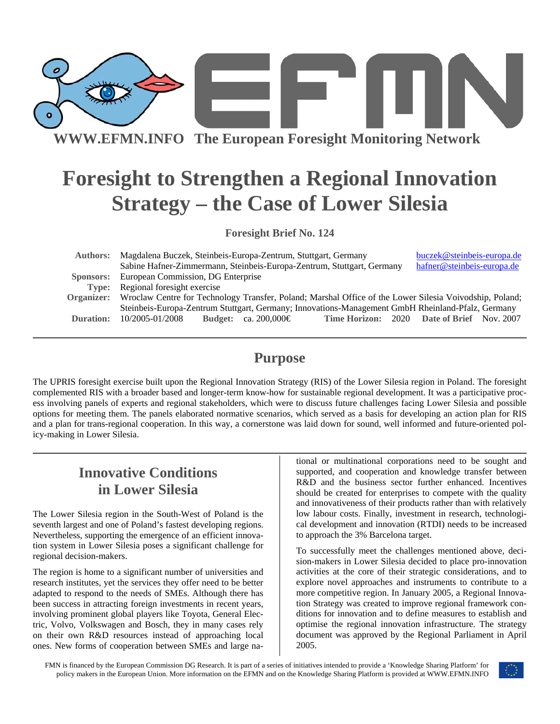

**WWW.EFMN.INFO The European Foresight Monitoring Network**

# **Foresight to Strengthen a Regional Innovation Strategy – the Case of Lower Silesia**

**Foresight Brief No. 124** 

| <b>Authors:</b> | Magdalena Buczek, Steinbeis-Europa-Zentrum, Stuttgart, Germany                                                     | buczek@steinbeis-europa.de                 |
|-----------------|--------------------------------------------------------------------------------------------------------------------|--------------------------------------------|
|                 | Sabine Hafner-Zimmermann, Steinbeis-Europa-Zentrum, Stuttgart, Germany                                             | hafner@steinbeis-europa.de                 |
| Sponsors:       | European Commission, DG Enterprise                                                                                 |                                            |
| Type:           | Regional foresight exercise                                                                                        |                                            |
|                 | Organizer: Wroclaw Centre for Technology Transfer, Poland; Marshal Office of the Lower Silesia Voivodship, Poland; |                                            |
|                 | Steinbeis-Europa-Zentrum Stuttgart, Germany; Innovations-Management GmbH Rheinland-Pfalz, Germany                  |                                            |
| Duration:       | 10/2005-01/2008<br>Budget: ca. 200,000 $\in$                                                                       | Time Horizon: 2020 Date of Brief Nov. 2007 |

### **Purpose**

The UPRIS foresight exercise built upon the Regional Innovation Strategy (RIS) of the Lower Silesia region in Poland. The foresight complemented RIS with a broader based and longer-term know-how for sustainable regional development. It was a participative process involving panels of experts and regional stakeholders, which were to discuss future challenges facing Lower Silesia and possible options for meeting them. The panels elaborated normative scenarios, which served as a basis for developing an action plan for RIS and a plan for trans-regional cooperation. In this way, a cornerstone was laid down for sound, well informed and future-oriented policy-making in Lower Silesia.

# **Innovative Conditions in Lower Silesia**

The Lower Silesia region in the South-West of Poland is the seventh largest and one of Poland's fastest developing regions. Nevertheless, supporting the emergence of an efficient innovation system in Lower Silesia poses a significant challenge for regional decision-makers.

The region is home to a significant number of universities and research institutes, yet the services they offer need to be better adapted to respond to the needs of SMEs. Although there has been success in attracting foreign investments in recent years, involving prominent global players like Toyota, General Electric, Volvo, Volkswagen and Bosch, they in many cases rely on their own R&D resources instead of approaching local ones. New forms of cooperation between SMEs and large na-

tional or multinational corporations need to be sought and supported, and cooperation and knowledge transfer between R&D and the business sector further enhanced. Incentives should be created for enterprises to compete with the quality and innovativeness of their products rather than with relatively low labour costs. Finally, investment in research, technological development and innovation (RTDI) needs to be increased to approach the 3% Barcelona target.

To successfully meet the challenges mentioned above, decision-makers in Lower Silesia decided to place pro-innovation activities at the core of their strategic considerations, and to explore novel approaches and instruments to contribute to a more competitive region. In January 2005, a Regional Innovation Strategy was created to improve regional framework conditions for innovation and to define measures to establish and optimise the regional innovation infrastructure. The strategy document was approved by the Regional Parliament in April 2005.

FMN is financed by the European Commission DG Research. It is part of a series of initiatives intended to provide a 'Knowledge Sharing Platform' for policy makers in the European Union. More information on the EFMN and on the Knowledge Sharing Platform is provided at WWW.EFMN.INFO

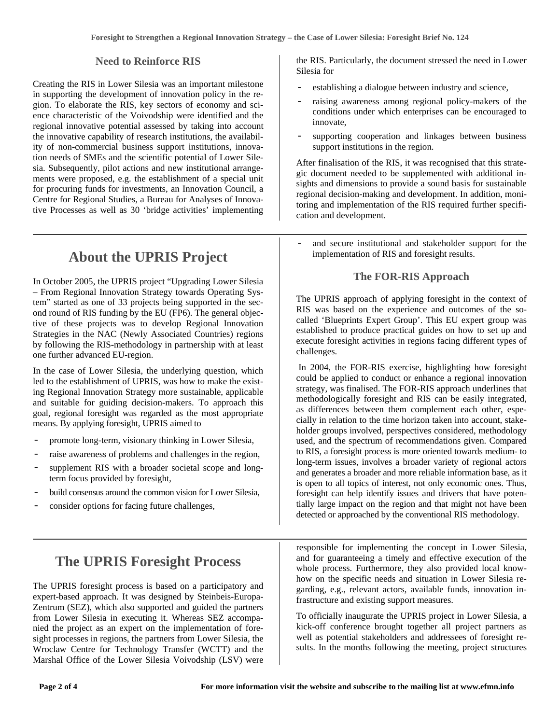#### **Need to Reinforce RIS**

Creating the RIS in Lower Silesia was an important milestone in supporting the development of innovation policy in the region. To elaborate the RIS, key sectors of economy and science characteristic of the Voivodship were identified and the regional innovative potential assessed by taking into account the innovative capability of research institutions, the availability of non-commercial business support institutions, innovation needs of SMEs and the scientific potential of Lower Silesia. Subsequently, pilot actions and new institutional arrangements were proposed, e.g. the establishment of a special unit for procuring funds for investments, an Innovation Council, a Centre for Regional Studies, a Bureau for Analyses of Innovative Processes as well as 30 'bridge activities' implementing

### **About the UPRIS Project**

In October 2005, the UPRIS project "Upgrading Lower Silesia – From Regional Innovation Strategy towards Operating System" started as one of 33 projects being supported in the second round of RIS funding by the EU (FP6). The general objective of these projects was to develop Regional Innovation Strategies in the NAC (Newly Associated Countries) regions by following the RIS-methodology in partnership with at least one further advanced EU-region.

In the case of Lower Silesia, the underlying question, which led to the establishment of UPRIS, was how to make the existing Regional Innovation Strategy more sustainable, applicable and suitable for guiding decision-makers. To approach this goal, regional foresight was regarded as the most appropriate means. By applying foresight, UPRIS aimed to

- promote long-term, visionary thinking in Lower Silesia,
- raise awareness of problems and challenges in the region,
- supplement RIS with a broader societal scope and longterm focus provided by foresight,
- build consensus around the common vision for Lower Silesia,
- consider options for facing future challenges,

### **The UPRIS Foresight Process**

The UPRIS foresight process is based on a participatory and expert-based approach. It was designed by Steinbeis-Europa-Zentrum (SEZ), which also supported and guided the partners from Lower Silesia in executing it. Whereas SEZ accompanied the project as an expert on the implementation of foresight processes in regions, the partners from Lower Silesia, the Wroclaw Centre for Technology Transfer (WCTT) and the Marshal Office of the Lower Silesia Voivodship (LSV) were the RIS. Particularly, the document stressed the need in Lower Silesia for

- establishing a dialogue between industry and science,
- raising awareness among regional policy-makers of the conditions under which enterprises can be encouraged to innovate,
- supporting cooperation and linkages between business support institutions in the region.

After finalisation of the RIS, it was recognised that this strategic document needed to be supplemented with additional insights and dimensions to provide a sound basis for sustainable regional decision-making and development. In addition, monitoring and implementation of the RIS required further specification and development.

and secure institutional and stakeholder support for the implementation of RIS and foresight results.

#### **The FOR-RIS Approach**

The UPRIS approach of applying foresight in the context of RIS was based on the experience and outcomes of the socalled 'Blueprints Expert Group'. This EU expert group was established to produce practical guides on how to set up and execute foresight activities in regions facing different types of challenges.

 In 2004, the FOR-RIS exercise, highlighting how foresight could be applied to conduct or enhance a regional innovation strategy, was finalised. The FOR-RIS approach underlines that methodologically foresight and RIS can be easily integrated, as differences between them complement each other, especially in relation to the time horizon taken into account, stakeholder groups involved, perspectives considered, methodology used, and the spectrum of recommendations given. Compared to RIS, a foresight process is more oriented towards medium- to long-term issues, involves a broader variety of regional actors and generates a broader and more reliable information base, as it is open to all topics of interest, not only economic ones. Thus, foresight can help identify issues and drivers that have potentially large impact on the region and that might not have been detected or approached by the conventional RIS methodology.

responsible for implementing the concept in Lower Silesia, and for guaranteeing a timely and effective execution of the whole process. Furthermore, they also provided local knowhow on the specific needs and situation in Lower Silesia regarding, e.g., relevant actors, available funds, innovation infrastructure and existing support measures.

To officially inaugurate the UPRIS project in Lower Silesia, a kick-off conference brought together all project partners as well as potential stakeholders and addressees of foresight results. In the months following the meeting, project structures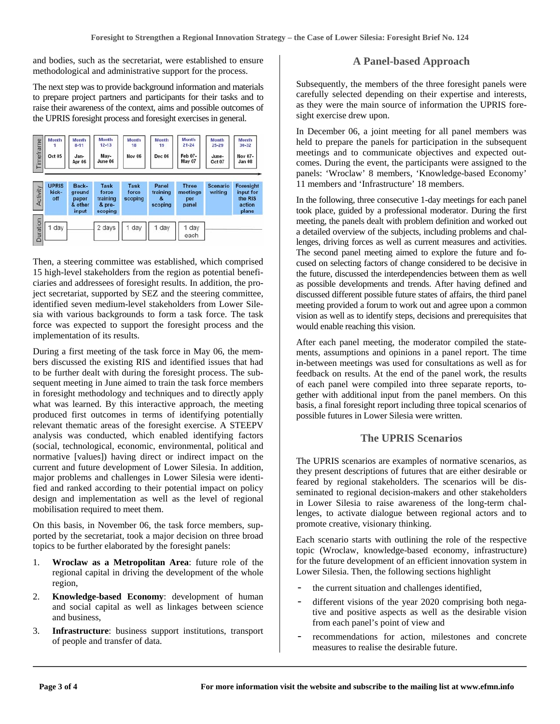and bodies, such as the secretariat, were established to ensure methodological and administrative support for the process.

The next step was to provide background information and materials to prepare project partners and participants for their tasks and to raise their awareness of the context, aims and possible outcomes of the UPRIS foresight process and foresight exercises in general.

| Timeframe | <b>Month</b><br><b>Oct 05</b> | <b>Month</b><br>$8 - 11$<br>Jan-<br><b>Apr 06</b> | <b>Month</b><br>$12 - 13$<br>May-<br>June 06          | <b>Month</b><br>18<br><b>Nov 06</b> | Month<br>19<br><b>Dec 06</b>       | <b>Month</b><br>$21 - 24$<br>Feb 07-<br>May 07 | <b>Month</b><br>$25 - 29$<br>June-<br>Oct <sub>07</sub> | Month<br>$30 - 32$<br>Nov 07-<br><b>Jan 08</b>              |
|-----------|-------------------------------|---------------------------------------------------|-------------------------------------------------------|-------------------------------------|------------------------------------|------------------------------------------------|---------------------------------------------------------|-------------------------------------------------------------|
| Activity  | <b>UPRIS</b><br>kick-<br>off  | Back-<br>ground<br>paper<br>& other<br>input      | <b>Task</b><br>force<br>training<br>& pre-<br>scoping | <b>Task</b><br>force<br>scoping     | Panel<br>training<br>z.<br>scoping | <b>Three</b><br>meetings<br>per<br>panel       | <b>Scenario</b><br>writing                              | <b>Foresight</b><br>input for<br>the RIS<br>action<br>plans |
| Duration  | day<br>1                      |                                                   | 2 days                                                | day<br>$\mathbf{1}$                 | day<br>1                           | day<br>each                                    |                                                         |                                                             |

Then, a steering committee was established, which comprised 15 high-level stakeholders from the region as potential beneficiaries and addressees of foresight results. In addition, the project secretariat, supported by SEZ and the steering committee, identified seven medium-level stakeholders from Lower Silesia with various backgrounds to form a task force. The task force was expected to support the foresight process and the implementation of its results.

During a first meeting of the task force in May 06, the members discussed the existing RIS and identified issues that had to be further dealt with during the foresight process. The subsequent meeting in June aimed to train the task force members in foresight methodology and techniques and to directly apply what was learned. By this interactive approach, the meeting produced first outcomes in terms of identifying potentially relevant thematic areas of the foresight exercise. A STEEPV analysis was conducted, which enabled identifying factors (social, technological, economic, environmental, political and normative [values]) having direct or indirect impact on the current and future development of Lower Silesia. In addition, major problems and challenges in Lower Silesia were identified and ranked according to their potential impact on policy design and implementation as well as the level of regional mobilisation required to meet them.

On this basis, in November 06, the task force members, supported by the secretariat, took a major decision on three broad topics to be further elaborated by the foresight panels:

- 1. **Wroclaw as a Metropolitan Area**: future role of the regional capital in driving the development of the whole region,
- 2. **Knowledge-based Economy**: development of human and social capital as well as linkages between science and business,
- 3. **Infrastructure**: business support institutions, transport of people and transfer of data.

#### **A Panel-based Approach**

Subsequently, the members of the three foresight panels were carefully selected depending on their expertise and interests, as they were the main source of information the UPRIS foresight exercise drew upon.

In December 06, a joint meeting for all panel members was held to prepare the panels for participation in the subsequent meetings and to communicate objectives and expected outcomes. During the event, the participants were assigned to the panels: 'Wroclaw' 8 members, 'Knowledge-based Economy' 11 members and 'Infrastructure' 18 members.

In the following, three consecutive 1-day meetings for each panel took place, guided by a professional moderator. During the first meeting, the panels dealt with problem definition and worked out a detailed overview of the subjects, including problems and challenges, driving forces as well as current measures and activities. The second panel meeting aimed to explore the future and focused on selecting factors of change considered to be decisive in the future, discussed the interdependencies between them as well as possible developments and trends. After having defined and discussed different possible future states of affairs, the third panel meeting provided a forum to work out and agree upon a common vision as well as to identify steps, decisions and prerequisites that would enable reaching this vision.

After each panel meeting, the moderator compiled the statements, assumptions and opinions in a panel report. The time in-between meetings was used for consultations as well as for feedback on results. At the end of the panel work, the results of each panel were compiled into three separate reports, together with additional input from the panel members. On this basis, a final foresight report including three topical scenarios of possible futures in Lower Silesia were written.

#### **The UPRIS Scenarios**

The UPRIS scenarios are examples of normative scenarios, as they present descriptions of futures that are either desirable or feared by regional stakeholders. The scenarios will be disseminated to regional decision-makers and other stakeholders in Lower Silesia to raise awareness of the long-term challenges, to activate dialogue between regional actors and to promote creative, visionary thinking.

Each scenario starts with outlining the role of the respective topic (Wroclaw, knowledge-based economy, infrastructure) for the future development of an efficient innovation system in Lower Silesia. Then, the following sections highlight

- the current situation and challenges identified,
- different visions of the year 2020 comprising both negative and positive aspects as well as the desirable vision from each panel's point of view and
- recommendations for action, milestones and concrete measures to realise the desirable future.